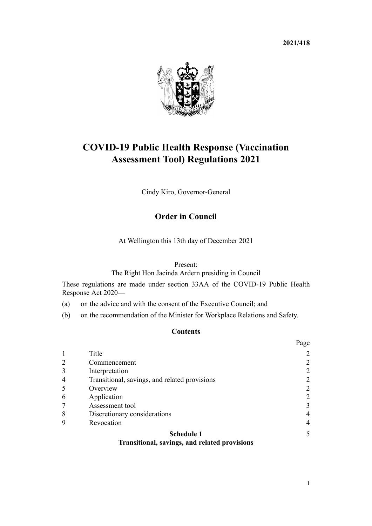**2021/418**



# **COVID-19 Public Health Response (Vaccination Assessment Tool) Regulations 2021**

Cindy Kiro, Governor-General

# **Order in Council**

At Wellington this 13th day of December 2021

### Present:

The Right Hon Jacinda Ardern presiding in Council

These regulations are made under [section 33AA](http://legislation.govt.nz/pdflink.aspx?id=LMS606310) of the [COVID-19 Public Health](http://legislation.govt.nz/pdflink.aspx?id=LMS344121) [Response Act 2020—](http://legislation.govt.nz/pdflink.aspx?id=LMS344121)

- (a) on the advice and with the consent of the Executive Council; and
- (b) on the recommendation of the Minister for Workplace Relations and Safety.

## **Contents**

|                |                                               | Page           |
|----------------|-----------------------------------------------|----------------|
|                | Title                                         | $\overline{2}$ |
| 2              | Commencement                                  | 2              |
| 3              | Interpretation                                | 2              |
| $\overline{4}$ | Transitional, savings, and related provisions | $\overline{2}$ |
|                | Overview                                      | 2              |
| 6              | Application                                   | 2              |
|                | Assessment tool                               | 3              |
| 8              | Discretionary considerations                  | 4              |
| 9              | Revocation                                    | 4              |
|                | <b>Schedule 1</b>                             |                |
|                | Transitional sayings, and related provisions  |                |

#### **[Transitional, savings, and related provisions](#page-4-0)**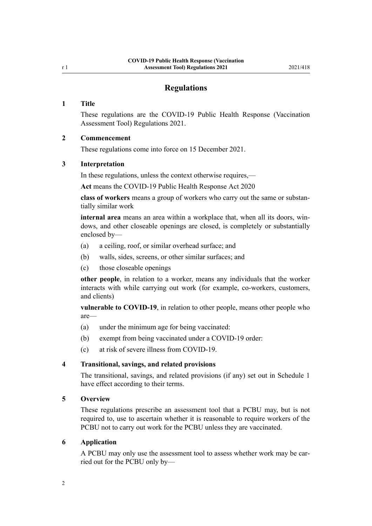## **Regulations**

#### <span id="page-1-0"></span>**1 Title**

These regulations are the COVID-19 Public Health Response (Vaccination Assessment Tool) Regulations 2021.

#### **2 Commencement**

These regulations come into force on 15 December 2021.

#### **3 Interpretation**

In these regulations, unless the context otherwise requires,—

**Act** means the [COVID-19 Public Health Response Act 2020](http://legislation.govt.nz/pdflink.aspx?id=LMS344121)

**class of workers** means a group of workers who carry out the same or substan‐ tially similar work

**internal area** means an area within a workplace that, when all its doors, win‐ dows, and other closeable openings are closed, is completely or substantially enclosed by—

- (a) a ceiling, roof, or similar overhead surface; and
- (b) walls, sides, screens, or other similar surfaces; and
- (c) those closeable openings

**other people**, in relation to a worker, means any individuals that the worker interacts with while carrying out work (for example, co-workers, customers, and clients)

**vulnerable to COVID-19**, in relation to other people, means other people who are—

- (a) under the minimum age for being vaccinated:
- (b) exempt from being vaccinated under a COVID-19 order:
- (c) at risk of severe illness from COVID-19.

#### **4 Transitional, savings, and related provisions**

The transitional, savings, and related provisions (if any) set out in [Schedule 1](#page-4-0) have effect according to their terms.

#### **5 Overview**

These regulations prescribe an assessment tool that a PCBU may, but is not required to, use to ascertain whether it is reasonable to require workers of the PCBU not to carry out work for the PCBU unless they are vaccinated.

#### **6 Application**

A PCBU may only use the assessment tool to assess whether work may be car‐ ried out for the PCBU only by—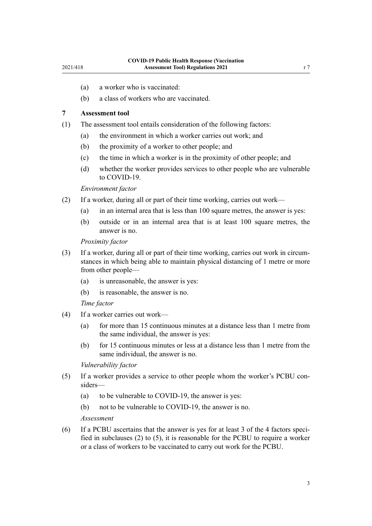- <span id="page-2-0"></span>(a) a worker who is vaccinated:
- (b) a class of workers who are vaccinated.

### **7 Assessment tool**

- (1) The assessment tool entails consideration of the following factors:
	- (a) the environment in which a worker carries out work; and
	- (b) the proximity of a worker to other people; and
	- (c) the time in which a worker is in the proximity of other people; and
	- (d) whether the worker provides services to other people who are vulnerable to COVID-19.

*Environment factor*

- (2) If a worker, during all or part of their time working, carries out work—
	- (a) in an internal area that is less than 100 square metres, the answer is yes:
	- (b) outside or in an internal area that is at least 100 square metres, the answer is no.

*Proximity factor*

- (3) If a worker, during all or part of their time working, carries out work in circum‐ stances in which being able to maintain physical distancing of 1 metre or more from other people—
	- (a) is unreasonable, the answer is yes:
	- (b) is reasonable, the answer is no.

*Time factor*

- (4) If a worker carries out work—
	- (a) for more than 15 continuous minutes at a distance less than 1 metre from the same individual, the answer is yes:
	- (b) for 15 continuous minutes or less at a distance less than 1 metre from the same individual, the answer is no.

*Vulnerability factor*

- (5) If a worker provides a service to other people whom the worker's PCBU con‐ siders—
	- (a) to be vulnerable to COVID-19, the answer is yes:
	- (b) not to be vulnerable to COVID-19, the answer is no.

#### *Assessment*

(6) If a PCBU ascertains that the answer is yes for at least 3 of the 4 factors speci‐ fied in subclauses (2) to (5), it is reasonable for the PCBU to require a worker or a class of workers to be vaccinated to carry out work for the PCBU.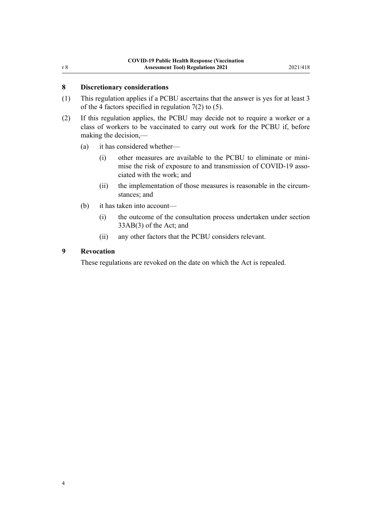## <span id="page-3-0"></span>**8 Discretionary considerations**

- (1) This regulation applies if a PCBU ascertains that the answer is yes for at least 3 of the 4 factors specified in [regulation 7\(2\) to \(5\)](#page-2-0).
- (2) If this regulation applies, the PCBU may decide not to require a worker or a class of workers to be vaccinated to carry out work for the PCBU if, before making the decision,—
	- (a) it has considered whether—
		- (i) other measures are available to the PCBU to eliminate or mini‐ mise the risk of exposure to and transmission of COVID-19 associated with the work; and
		- (ii) the implementation of those measures is reasonable in the circumstances; and
	- (b) it has taken into account—
		- (i) the outcome of the consultation process undertaken under [section](http://legislation.govt.nz/pdflink.aspx?id=LMS606357) [33AB\(3\)](http://legislation.govt.nz/pdflink.aspx?id=LMS606357) of the Act; and
		- (ii) any other factors that the PCBU considers relevant.

### **9 Revocation**

These regulations are revoked on the date on which the Act is repealed.